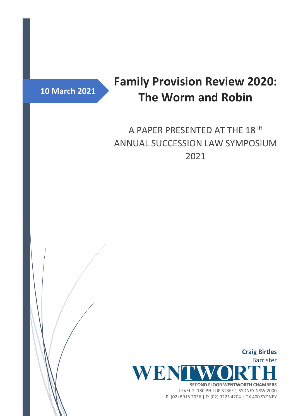

# **Family Provision Review 2020: The Worm and Robin**

# A PAPER PRESENTED AT THE 18TH ANNUAL SUCCESSION LAW SYMPOSIUM 2021

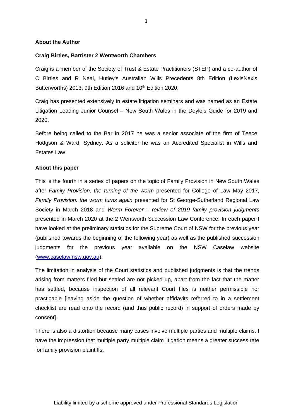#### **About the Author**

#### **Craig Birtles, Barrister 2 Wentworth Chambers**

Craig is a member of the Society of Trust & Estate Practitioners (STEP) and a co-author of C Birtles and R Neal, Hutley's Australian Wills Precedents 8th Edition (LexisNexis Butterworths) 2013, 9th Edition 2016 and  $10<sup>th</sup>$  Edition 2020.

Craig has presented extensively in estate litigation seminars and was named as an Estate Litigation Leading Junior Counsel – New South Wales in the Doyle's Guide for 2019 and 2020.

Before being called to the Bar in 2017 he was a senior associate of the firm of Teece Hodgson & Ward, Sydney. As a solicitor he was an Accredited Specialist in Wills and Estates Law.

#### **About this paper**

This is the fourth in a series of papers on the topic of Family Provision in New South Wales after *Family Provision, the turning of the worm* presented for College of Law May 2017, *Family Provision: the worm turns again* presented for St George-Sutherland Regional Law Society in March 2018 and *Worm Forever – review of 2019 family provision judgments* presented in March 2020 at the 2 Wentworth Succession Law Conference. In each paper I have looked at the preliminary statistics for the Supreme Court of NSW for the previous year (published towards the beginning of the following year) as well as the published succession judgments for the previous year available on the NSW Caselaw website [\(www.caselaw.nsw.gov.au\)](http://www.caselaw.nsw.gov.au/).

The limitation in analysis of the Court statistics and published judgments is that the trends arising from matters filed but settled are not picked up, apart from the fact that the matter has settled, because inspection of all relevant Court files is neither permissible nor practicable [leaving aside the question of whether affidavits referred to in a settlement checklist are read onto the record (and thus public record) in support of orders made by consent].

There is also a distortion because many cases involve multiple parties and multiple claims. I have the impression that multiple party multiple claim litigation means a greater success rate for family provision plaintiffs.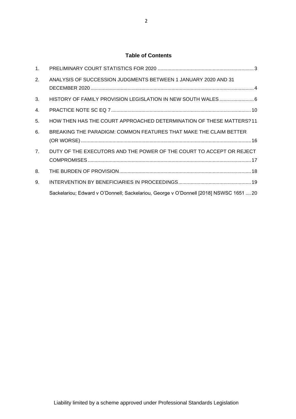### **Table of Contents**

| 1 <sub>1</sub>   |                                                                                        |
|------------------|----------------------------------------------------------------------------------------|
| 2.               | ANALYSIS OF SUCCESSION JUDGMENTS BETWEEN 1 JANUARY 2020 AND 31                         |
|                  |                                                                                        |
| 3.               |                                                                                        |
| $\overline{4}$ . |                                                                                        |
| 5.               | HOW THEN HAS THE COURT APPROACHED DETERMINATION OF THESE MATTERS? 11                   |
| 6.               | BREAKING THE PARADIGM: COMMON FEATURES THAT MAKE THE CLAIM BETTER                      |
|                  |                                                                                        |
| 7 <sub>1</sub>   | DUTY OF THE EXECUTORS AND THE POWER OF THE COURT TO ACCEPT OR REJECT                   |
|                  |                                                                                        |
| 8.               |                                                                                        |
| 9.               |                                                                                        |
|                  | Sackelariou; Edward v O'Donnell; Sackelariou, George v O'Donnell [2018] NSWSC 1651  20 |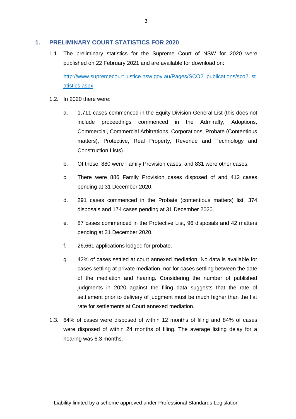#### <span id="page-3-0"></span>**1. PRELIMINARY COURT STATISTICS FOR 2020**

1.1. The preliminary statistics for the Supreme Court of NSW for 2020 were published on 22 February 2021 and are available for download on:

[http://www.supremecourt.justice.nsw.gov.au/Pages/SCO2\\_publications/sco2\\_st](http://www.supremecourt.justice.nsw.gov.au/Pages/SCO2_publications/sco2_statistics.aspx) [atistics.aspx](http://www.supremecourt.justice.nsw.gov.au/Pages/SCO2_publications/sco2_statistics.aspx)

- 1.2. In 2020 there were:
	- a. 1,711 cases commenced in the Equity Division General List (this does not include proceedings commenced in the Admiralty, Adoptions, Commercial, Commercial Arbitrations, Corporations, Probate (Contentious matters), Protective, Real Property, Revenue and Technology and Construction Lists).
	- b. Of those, 880 were Family Provision cases, and 831 were other cases.
	- c. There were 886 Family Provision cases disposed of and 412 cases pending at 31 December 2020.
	- d. 291 cases commenced in the Probate (contentious matters) list, 374 disposals and 174 cases pending at 31 December 2020.
	- e. 87 cases commenced in the Protective List, 96 disposals and 42 matters pending at 31 December 2020.
	- f. 26,661 applications lodged for probate.
	- g. 42% of cases settled at court annexed mediation. No data is available for cases settling at private mediation, nor for cases settling between the date of the mediation and hearing. Considering the number of published judgments in 2020 against the filing data suggests that the rate of settlement prior to delivery of judgment must be much higher than the flat rate for settlements at Court annexed mediation.
- 1.3. 64% of cases were disposed of within 12 months of filing and 84% of cases were disposed of within 24 months of filing. The average listing delay for a hearing was 6.3 months.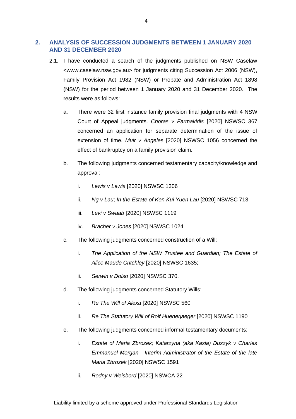# <span id="page-4-0"></span>**2. ANALYSIS OF SUCCESSION JUDGMENTS BETWEEN 1 JANUARY 2020 AND 31 DECEMBER 2020**

- 2.1. I have conducted a search of the judgments published on NSW Caselaw <www.caselaw.nsw.gov.au> for judgments citing Succession Act 2006 (NSW), Family Provision Act 1982 (NSW) or Probate and Administration Act 1898 (NSW) for the period between 1 January 2020 and 31 December 2020. The results were as follows:
	- a. There were 32 first instance family provision final judgments with 4 NSW Court of Appeal judgments. *Choras v Farmakidis* [2020] NSWSC 367 concerned an application for separate determination of the issue of extension of time. *Muir v Angeles* [2020] NSWSC 1056 concerned the effect of bankruptcy on a family provision claim.
	- b. The following judgments concerned testamentary capacity/knowledge and approval:
		- i. *Lewis v Lewis* [2020] NSWSC 1306
		- ii. *Ng v Lau*; *In the Estate of Ken Kui Yuen Lau* [2020] NSWSC 713
		- iii. *Levi v Swaab* [2020] NSWSC 1119
		- iv. *Bracher v Jones* [2020] NSWSC 1024
	- c. The following judgments concerned construction of a Will:
		- i. *The Application of the NSW Trustee and Guardian; The Estate of Alice Maude Critchley* [2020] NSWSC 1635;
		- ii. *Serwin v Dolso* [2020] NSWSC 370.
	- d. The following judgments concerned Statutory Wills:
		- i. *Re The Will of Alexa* [2020] NSWSC 560
		- ii. *Re The Statutory Will of Rolf Huenerjaeger* [2020] NSWSC 1190
	- e. The following judgments concerned informal testamentary documents:
		- i. *Estate of Maria Zbrozek; Katarzyna (aka Kasia) Duszyk v Charles Emmanuel Morgan - Interim Administrator of the Estate of the late Maria Zbrozek* [2020] NSWSC 1591
		- ii. *Rodny v Weisbord* [2020] NSWCA 22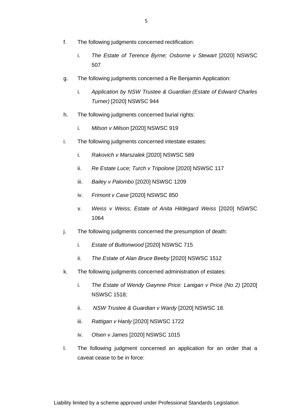- f. The following judgments concerned rectification:
	- i. *The Estate of Terence Byrne; Osborne v Stewart* [2020] NSWSC 507
- g. The following judgments concerned a Re Benjamin Application:
	- i. *Application by NSW Trustee & Guardian (Estate of Edward Charles Turner)* [2020] NSWSC 944
- h. The following judgments concerned burial rights:
	- i. *Milson v Milson* [2020] NSWSC 919
- i. The following judgments concerned intestate estates:
	- i. *Rakovich v Marszalek* [2020] NSWSC 589
	- ii. *Re Estate Luce; Turch v Tripolone* [2020] NSWSC 117
	- iii. *Bailey v Palombo* [2020] NSWSC 1209
	- iv. *Frimont v Case* [2020] NSWSC 850
	- v. *Weiss v Weiss; Estate of Anita Hildegard Weiss* [2020] NSWSC 1064
- j. The following judgments concerned the presumption of death:
	- i. *Estate of Buttonwood* [2020] NSWSC 715
	- ii. *The Estate of Alan Bruce Beeby* [2020] NSWSC 1512
- k. The following judgments concerned administration of estates:
	- i. *The Estate of Wendy Gwynne Price: Lanigan v Price (No 2)* [2020] NSWSC 1518;
	- ii. *NSW Trustee & Guardian v Wardy* [2020] NSWSC 18.
	- iii. *Rattigan v Hanly* [2020] NSWSC 1722
	- iv. *Olsen v James* [2020] NSWSC 1015
- l. The following judgment concerned an application for an order that a caveat cease to be in force: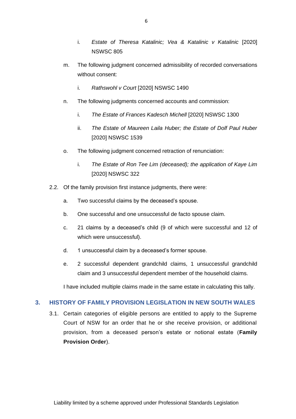- i. *Estate of Theresa Katalinic; Vea & Katalinic v Katalinic* [2020] NSWSC 805
- m. The following judgment concerned admissibility of recorded conversations without consent:
	- i. *Rathswohl v Court* [2020] NSWSC 1490
- n. The following judgments concerned accounts and commission:
	- i. *The Estate of Frances Kadesch Michell* [2020] NSWSC 1300
	- ii. *The Estate of Maureen Laila Huber; the Estate of Dolf Paul Huber* [2020] NSWSC 1539
- o. The following judgment concerned retraction of renunciation:
	- i. *The Estate of Ron Tee Lim (deceased); the application of Kaye Lim* [2020] NSWSC 322
- 2.2. Of the family provision first instance judgments, there were:
	- a. Two successful claims by the deceased's spouse.
	- b. One successful and one unsuccessful de facto spouse claim.
	- c. 21 claims by a deceased's child (9 of which were successful and 12 of which were unsuccessful).
	- d. 1 unsuccessful claim by a deceased's former spouse.
	- e. 2 successful dependent grandchild claims, 1 unsuccessful grandchild claim and 3 unsuccessful dependent member of the household claims.

I have included multiple claims made in the same estate in calculating this tally.

## <span id="page-6-0"></span>**3. HISTORY OF FAMILY PROVISION LEGISLATION IN NEW SOUTH WALES**

3.1. Certain categories of eligible persons are entitled to apply to the Supreme Court of NSW for an order that he or she receive provision, or additional provision, from a deceased person's estate or notional estate (**Family Provision Order**).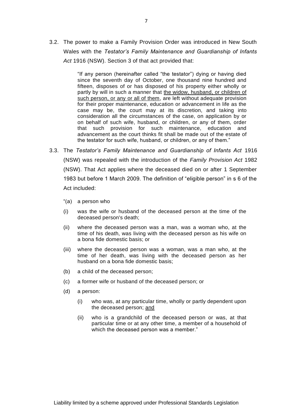3.2. The power to make a Family Provision Order was introduced in New South Wales with the *Testator's Family Maintenance and Guardianship of Infants Act* 1916 (NSW). Section 3 of that act provided that:

> "If any person (hereinafter called "the testator") dying or having died since the seventh day of October, one thousand nine hundred and fifteen, disposes of or has disposed of his property either wholly or partly by will in such a manner that the widow, husband, or children of such person, or any or all of them, are left without adequate provision for their proper maintenance, education or advancement in life as the case may be, the court may at its discretion, and taking into consideration all the circumstances of the case, on application by or on behalf of such wife, husband, or children, or any of them, order that such provision for such maintenance, education and advancement as the court thinks fit shall be made out of the estate of the testator for such wife, husband, or children, or any of them."

- 3.3. The *Testator's Family Maintenance and Guardianship of Infants Act* 1916 (NSW) was repealed with the introduction of the *Family Provision Act* 1982 (NSW). That Act applies where the deceased died on or after 1 September 1983 but before 1 March 2009. The definition of "eligible person" in s 6 of the Act included:
	- "(a) a person who
	- (i) was the wife or husband of the deceased person at the time of the deceased person's death;
	- (ii) where the deceased person was a man, was a woman who, at the time of his death, was living with the deceased person as his wife on a bona fide domestic basis; or
	- (iii) where the deceased person was a woman, was a man who, at the time of her death, was living with the deceased person as her husband on a bona fide domestic basis;
	- (b) a child of the deceased person;
	- (c) a former wife or husband of the deceased person; or
	- (d) a person:
		- (i) who was, at any particular time, wholly or partly dependent upon the deceased person; and
		- (ii) who is a grandchild of the deceased person or was, at that particular time or at any other time, a member of a household of which the deceased person was a member."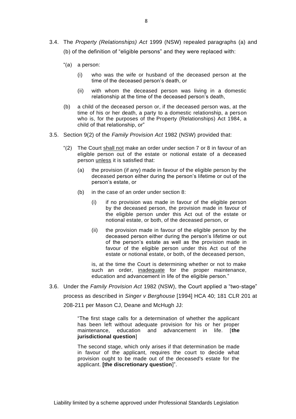- 3.4. The *Property (Relationships) Act* 1999 (NSW) repealed paragraphs (a) and (b) of the definition of "eligible persons" and they were replaced with:
	- "(a) a person:
		- (i) who was the wife or husband of the deceased person at the time of the deceased person's death, or
		- (ii) with whom the deceased person was living in a domestic relationship at the time of the deceased person's death,
	- (b) a child of the deceased person or, if the deceased person was, at the time of his or her death, a party to a domestic relationship, a person who is, for the purposes of the [Property \(Relationships\) Act 1984,](http://www.legislation.nsw.gov.au/#/view/act/1984/147) a child of that relationship, or"
- 3.5. Section 9(2) of the *Family Provision Act* 1982 (NSW) provided that:
	- "(2) The Court shall not make an order under section 7 or 8 in favour of an eligible person out of the estate or notional estate of a deceased person unless it is satisfied that:
		- (a) the provision (if any) made in favour of the eligible person by the deceased person either during the person's lifetime or out of the person's estate, or
		- (b) in the case of an order under section 8:
			- (i) if no provision was made in favour of the eligible person by the deceased person, the provision made in favour of the eligible person under this Act out of the estate or notional estate, or both, of the deceased person, or
			- (ii) the provision made in favour of the eligible person by the deceased person either during the person's lifetime or out of the person's estate as well as the provision made in favour of the eligible person under this Act out of the estate or notional estate, or both, of the deceased person,

is, at the time the Court is determining whether or not to make such an order, inadequate for the proper maintenance, education and advancement in life of the eligible person."

3.6. Under the *Family Provision Act* 1982 (NSW), the Court applied a "two-stage"

process as described in *Singer v Berghouse* [1994] HCA 40; 181 CLR 201 at 208-211 per Mason CJ, Deane and McHugh JJ:

"The first stage calls for a determination of whether the applicant has been left without adequate provision for his or her proper maintenance, education and advancement in life. [**the jurisdictional question**]

The second stage, which only arises if that determination be made in favour of the applicant, requires the court to decide what provision ought to be made out of the deceased's estate for the applicant. **[the discretionary question**]".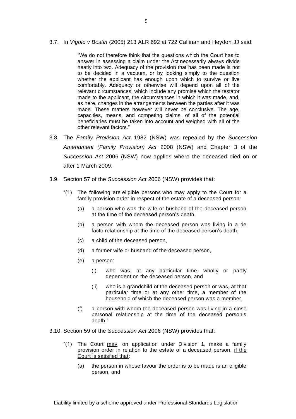3.7. In *Vigolo v Bostin* (2005) 213 ALR 692 at 722 Callinan and Heydon JJ said:

"We do not therefore think that the questions which the Court has to answer in assessing a claim under the Act necessarily always divide neatly into two. Adequacy of the provision that has been made is not to be decided in a vacuum, or by looking simply to the question whether the applicant has enough upon which to survive or live comfortably. Adequacy or otherwise will depend upon all of the relevant circumstances, which include any promise which the testator made to the applicant, the circumstances in which it was made, and, as here, changes in the arrangements between the parties after it was made. These matters however will never be conclusive. The age, capacities, means, and competing claims, of all of the potential beneficiaries must be taken into account and weighed with all of the other relevant factors."

- 3.8. The *Family Provision Act* 1982 (NSW) was repealed by the *Succession Amendment (Family Provision) Act* 2008 (NSW) and Chapter 3 of the *Succession Act* 2006 (NSW) now applies where the deceased died on or after 1 March 2009.
- 3.9. Section 57 of the *Succession Act* 2006 (NSW) provides that:
	- "(1) The following are eligible persons who may apply to the Court for a family provision order in respect of the estate of a deceased person:
		- (a) a person who was the wife or husband of the deceased person at the time of the deceased person's death,
		- (b) a person with whom the deceased person was living in a de facto relationship at the time of the deceased person's death,
		- (c) a child of the deceased person,
		- (d) a former wife or husband of the deceased person,
		- (e) a person:
			- (i) who was, at any particular time, wholly or partly dependent on the deceased person, and
			- (ii) who is a grandchild of the deceased person or was, at that particular time or at any other time, a member of the household of which the deceased person was a member,
		- (f) a person with whom the deceased person was living in a close personal relationship at the time of the deceased person's death."
- 3.10. Section 59 of the *Succession Act* 2006 (NSW) provides that:
	- "(1) The Court may, on application under Division 1, make a family provision order in relation to the estate of a deceased person, if the Court is satisfied that:
		- (a) the person in whose favour the order is to be made is an eligible person, and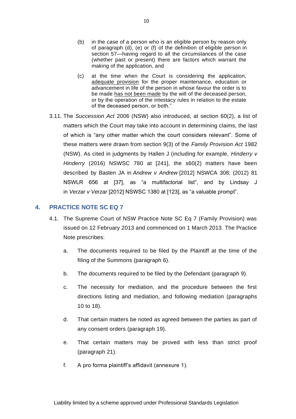- (b) in the case of a person who is an eligible person by reason only of paragraph (d), (e) or (f) of the definition of eligible person in section 57—having regard to all the circumstances of the case (whether past or present) there are factors which warrant the making of the application, and
- (c) at the time when the Court is considering the application, adequate provision for the proper maintenance, education or advancement in life of the person in whose favour the order is to be made has not been made by the will of the deceased person, or by the operation of the intestacy rules in relation to the estate of the deceased person, or both."
- 3.11. The *Succession Act* 2006 (NSW) also introduced, at section 60(2), a list of matters which the Court may take into account in determining claims, the last of which is "any other matter which the court considers relevant". Some of these matters were drawn from section 9(3) of the *Family Provision Act* 1982 (NSW). As cited in judgments by Hallen J (including for example, *Hinderry v Hinderry* (2016) NSWSC 780 at [241], the s60(2) matters have been described by Basten JA in *Andrew v Andrew* [2012] NSWCA 308; (2012) 81 NSWLR 656 at [37], as "a multifactorial list", and by Lindsay J in *Verzar v Verzar* [2012] NSWSC 1380 at [123], as "a valuable prompt".

### <span id="page-10-0"></span>**4. PRACTICE NOTE SC EQ 7**

- 4.1. The Supreme Court of NSW Practice Note SC Eq 7 (Family Provision) was issued on 12 February 2013 and commenced on 1 March 2013. The Practice Note prescribes:
	- a. The documents required to be filed by the Plaintiff at the time of the filing of the Summons (paragraph 6).
	- b. The documents required to be filed by the Defendant (paragraph 9).
	- c. The necessity for mediation, and the procedure between the first directions listing and mediation, and following mediation (paragraphs 10 to 18).
	- d. That certain matters be noted as agreed between the parties as part of any consent orders (paragraph 19).
	- e. That certain matters may be proved with less than strict proof (paragraph 21).
	- f. A pro forma plaintiff's affidavit (annexure 1).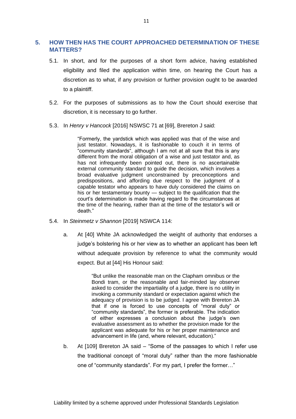# <span id="page-11-0"></span>**5. HOW THEN HAS THE COURT APPROACHED DETERMINATION OF THESE MATTERS?**

- 5.1. In short, and for the purposes of a short form advice, having established eligibility and filed the application within time, on hearing the Court has a discretion as to what, if any provision or further provision ought to be awarded to a plaintiff.
- 5.2. For the purposes of submissions as to how the Court should exercise that discretion, it is necessary to go further.
- 5.3. In *Henry v Hancock* [2016] NSWSC 71 at [69], Brereton J said:

"Formerly, the yardstick which was applied was that of the wise and just testator. Nowadays, it is fashionable to couch it in terms of .<br>"community standards", although I am not at all sure that this is any different from the moral obligation of a wise and just testator and, as has not infrequently been pointed out, there is no ascertainable external community standard to guide the decision, which involves a broad evaluative judgment unconstrained by preconceptions and predispositions, and affording due respect to the judgment of a capable testator who appears to have duly considered the claims on his or her testamentary bounty — subject to the qualification that the court's determination is made having regard to the circumstances at the time of the hearing, rather than at the time of the testator's will or death."

- 5.4. In *Steinmetz v Shannon* [2019] NSWCA 114:
	- a. At [40] White JA acknowledged the weight of authority that endorses a judge's bolstering his or her view as to whether an applicant has been left without adequate provision by reference to what the community would expect. But at [44] His Honour said:

"But unlike the reasonable man on the Clapham omnibus or the Bondi tram, or the reasonable and fair-minded lay observer asked to consider the impartiality of a judge, there is no utility in invoking a community standard or expectation against which the adequacy of provision is to be judged. I agree with Brereton JA that if one is forced to use concepts of "moral duty" or "community standards", the former is preferable. The indication of either expresses a conclusion about the judge's own evaluative assessment as to whether the provision made for the applicant was adequate for his or her proper maintenance and advancement in life (and, where relevant, education)."

b. At [109] Brereton JA said – "Some of the passages to which I refer use the traditional concept of "moral duty" rather than the more fashionable one of "community standards". For my part, I prefer the former…"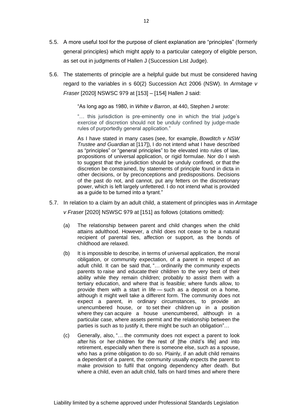- 5.5. A more useful tool for the purpose of client explanation are "principles" (formerly general principles) which might apply to a particular category of eligible person, as set out in judgments of Hallen J (Succession List Judge).
- 5.6. The statements of principle are a helpful guide but must be considered having regard to the variables in s 60(2) Succession Act 2006 (NSW). In *Armitage v Fraser* [2020] NSWSC 979 at [153] – [154] Hallen J said:

"As long ago as 1980, in *White v Barron*, at 440, Stephen J wrote:

"… this jurisdiction is pre-eminently one in which the trial judge's exercise of discretion should not be unduly confined by judge-made rules of purportedly general application."

As I have stated in many cases (see, for example, *Bowditch v NSW Trustee and Guardian* at [117]), I do not intend what I have described as "principles" or "general principles" to be elevated into rules of law, propositions of universal application, or rigid formulae. Nor do I wish to suggest that the jurisdiction should be unduly confined, or that the discretion be constrained, by statements of principle found in dicta in other decisions, or by preconceptions and predispositions. Decisions of the past do not, and cannot, put any fetters on the discretionary power, which is left largely unfettered. I do not intend what is provided as a guide to be turned into a tyrant."

- 5.7. In relation to a claim by an adult child, a statement of principles was in *Armitage v Fraser* [2020] NSWSC 979 at [151] as follows (citations omitted):
	- (a) The relationship between parent and child changes when the child attains adulthood. However, a child does not cease to be a natural recipient of parental ties, affection or support, as the bonds of childhood are relaxed.
	- (b) It is impossible to describe, in terms of universal application, the moral obligation, or community expectation, of a parent in respect of an adult child. It can be said that, "… ordinarily the community expects parents to raise and educate their children to the very best of their ability while they remain children; probably to assist them with a tertiary education, and where that is feasible; where funds allow, to provide them with a start in life — such as a deposit on a home, although it might well take a different form. The community does not expect a parent, in ordinary circumstances, to provide an unencumbered house, or to set their children up in a position where they can acquire a house unencumbered, although in a particular case, where assets permit and the relationship between the parties is such as to justify it, there might be such an obligation"…
	- (c) Generally, also, "… the community does not expect a parent to look after his or her children for the rest of [the child's life] and into retirement, especially when there is someone else, such as a spouse, who has a prime obligation to do so. Plainly, if an adult child remains a dependent of a parent, the community usually expects the parent to make provision to fulfil that ongoing dependency after death. But where a child, even an adult child, falls on hard times and where there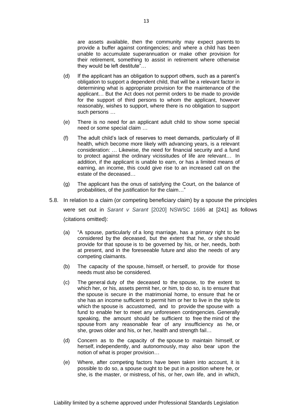are assets available, then the community may expect parents to provide a buffer against contingencies; and where a child has been unable to accumulate superannuation or make other provision for their retirement, something to assist in retirement where otherwise they would be left destitute"…

- (d) If the applicant has an obligation to support others, such as a parent's obligation to support a dependent child, that will be a relevant factor in determining what is appropriate provision for the maintenance of the applicant… But the Act does not permit orders to be made to provide for the support of third persons to whom the applicant, however reasonably, wishes to support, where there is no obligation to support such persons *…*
- (e) There is no need for an applicant adult child to show some special need or some special claim *…*
- (f) The adult child's lack of reserves to meet demands, particularly of ill health, which become more likely with advancing years, is a relevant consideration: *…* Likewise, the need for financial security and a fund to protect against the ordinary vicissitudes of life are relevant… In addition, if the applicant is unable to earn, or has a limited means of earning, an income, this could give rise to an increased call on the estate of the deceased…
- (g) The applicant has the onus of satisfying the Court, on the balance of probabilities, of the justification for the claim…"
- 5.8. In relation to a claim (or competing beneficiary claim) by a spouse the principles were set out in *Sarant v Sarant* [2020] NSWSC 1686 at [241] as follows (citations omitted):
	- (a) "A spouse, particularly of a long marriage, has a primary right to be considered by the deceased, but the extent that he, or she should provide for that spouse is to be governed by his, or her, needs, both at present, and in the foreseeable future and also the needs of any competing claimants.
	- (b) The capacity of the spouse, himself, or herself, to provide for those needs must also be considered.
	- (c) The general duty of the deceased to the spouse, to the extent to which her, or his, assets permit her, or him, to do so, is to ensure that the spouse is secure in the matrimonial home, to ensure that he or she has an income sufficient to permit him or her to live in the style to which the spouse is accustomed, and to provide the spouse with a fund to enable her to meet any unforeseen contingencies. Generally speaking, the amount should be sufficient to free the mind of the spouse from any reasonable fear of any insufficiency as he, or she, grows older and his, or her, health and strength fail…
	- (d) Concern as to the capacity of the spouse to maintain himself, or herself, independently, and autonomously, may also bear upon the notion of what is proper provision…
	- (e) Where, after competing factors have been taken into account, it is possible to do so, a spouse ought to be put in a position where he, or she, is the master, or mistress, of his, or her, own life, and in which,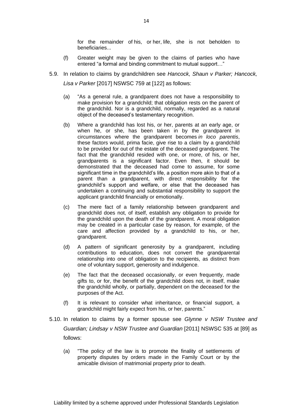for the remainder of his, or her, life, she is not beholden to beneficiaries...

- (f) Greater weight may be given to the claims of parties who have entered "a formal and binding commitment to mutual support…"
- 5.9. In relation to claims by grandchildren see *Hancock, Shaun v Parker; Hancock, Lisa v Parker* [2017] NSWSC 759 at [122] as follows:
	- (a) "As a general rule, a grandparent does not have a responsibility to make provision for a grandchild; that obligation rests on the parent of the grandchild. Nor is a grandchild, normally, regarded as a natural object of the deceased's testamentary recognition.
	- (b) Where a grandchild has lost his, or her, parents at an early age, or when he, or she, has been taken in by the grandparent in circumstances where the grandparent becomes *in loco parentis*, these factors would, prima facie, give rise to a claim by a grandchild to be provided for out of the estate of the deceased grandparent. The fact that the grandchild resided with one, or more, of his, or her, grandparents is a significant factor. Even then, it should be demonstrated that the deceased had come to assume, for some significant time in the grandchild's life, a position more akin to that of a parent than a grandparent, with direct responsibility for the grandchild's support and welfare, or else that the deceased has undertaken a continuing and substantial responsibility to support the applicant grandchild financially or emotionally.
	- (c) The mere fact of a family relationship between grandparent and grandchild does not, of itself, establish any obligation to provide for the grandchild upon the death of the grandparent. A moral obligation may be created in a particular case by reason, for example, of the care and affection provided by a grandchild to his, or her, grandparent.
	- (d) A pattern of significant generosity by a grandparent, including contributions to education, does not convert the grandparental relationship into one of obligation to the recipients, as distinct from one of voluntary support, generosity and indulgence.
	- (e) The fact that the deceased occasionally, or even frequently, made gifts to, or for, the benefit of the grandchild does not, in itself, make the grandchild wholly, or partially, dependent on the deceased for the purposes of the Act.
	- (f) It is relevant to consider what inheritance, or financial support, a grandchild might fairly expect from his, or her, parents."
- 5.10. In relation to claims by a former spouse see *Glynne v NSW Trustee and Guardian; Lindsay v NSW Trustee and Guardian* [2011] NSWSC 535 at [89] as follows:
	- (a) "The policy of the law is to promote the finality of settlements of property disputes by orders made in the Family Court or by the amicable division of matrimonial property prior to death.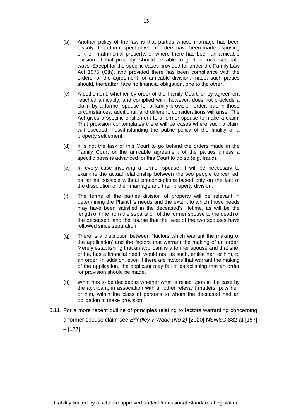- (b) Another policy of the law is that parties whose marriage has been dissolved, and in respect of whom orders have been made disposing of their matrimonial property, or where there has been an amicable division of that property, should be able to go their own separate ways. Except for the specific cases provided for under the Family Law Act 1975 (Cth), and provided there has been compliance with the orders, or the agreement for amicable division, made, such parties should, thereafter, face no financial obligation, one to the other.
- (c) A settlement, whether by order of the Family Court, or by agreement reached amicably, and complied with, however, does not preclude a claim by a former spouse for a family provision order, but, in those circumstances, additional, and different, considerations will arise. The Act gives a specific entitlement to a former spouse to make a claim. That provision contemplates there will be cases where such a claim will succeed, notwithstanding the public policy of the finality of a property settlement.
- (d) It is not the task of this Court to go behind the orders made in the Family Court or the amicable agreement of the parties unless a specific basis is advanced for this Court to do so (e.g. fraud).
- (e) In every case involving a former spouse, it will be necessary to examine the actual relationship between the two people concerned, as far as possible without preconceptions based only on the fact of the dissolution of their marriage and their property division.
- (f) The terms of the parties division of property will be relevant in determining the Plaintiff's needs and the extent to which those needs may have been satisfied in the deceased's lifetime, as will be the length of time from the separation of the former spouse to the death of the deceased, and the course that the lives of the two spouses have followed since separation.
- (g) There is a distinction between "factors which warrant the making of the application' and the factors that warrant the making of an order. Merely establishing that an applicant is a former spouse and that she, or he, has a financial need, would not, as such, entitle her, or him, to an order. In addition, even if there are factors that warrant the making of the application, the applicant may fail in establishing that an order for provision should be made.
- (h) What has to be decided is whether what is relied upon in the case by the applicant, in association with all other relevant matters, puts her, or him, within the class of persons to whom the deceased had an obligation to make provision."
- 5.11. For a more recent outline of principles relating to factors warranting concerning a former spouse claim see *Brindley v Wade (No 2)* [2020] NSWSC 882 at [157] – [177].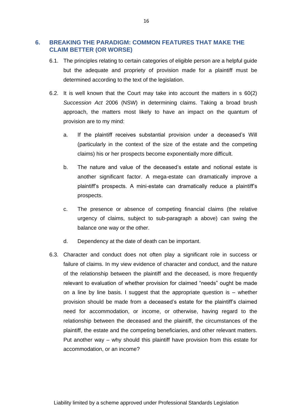## <span id="page-16-0"></span>**6. BREAKING THE PARADIGM: COMMON FEATURES THAT MAKE THE CLAIM BETTER (OR WORSE)**

- 6.1. The principles relating to certain categories of eligible person are a helpful guide but the adequate and propriety of provision made for a plaintiff must be determined according to the text of the legislation.
- 6.2. It is well known that the Court may take into account the matters in s 60(2) *Succession Act* 2006 (NSW) in determining claims. Taking a broad brush approach, the matters most likely to have an impact on the quantum of provision are to my mind:
	- a. If the plaintiff receives substantial provision under a deceased's Will (particularly in the context of the size of the estate and the competing claims) his or her prospects become exponentially more difficult.
	- b. The nature and value of the deceased's estate and notional estate is another significant factor. A mega-estate can dramatically improve a plaintiff's prospects. A mini-estate can dramatically reduce a plaintiff's prospects.
	- c. The presence or absence of competing financial claims (the relative urgency of claims, subject to sub-paragraph a above) can swing the balance one way or the other.
	- d. Dependency at the date of death can be important.
- 6.3. Character and conduct does not often play a significant role in success or failure of claims. In my view evidence of character and conduct, and the nature of the relationship between the plaintiff and the deceased, is more frequently relevant to evaluation of whether provision for claimed "needs" ought be made on a line by line basis. I suggest that the appropriate question is – whether provision should be made from a deceased's estate for the plaintiff's claimed need for accommodation, or income, or otherwise, having regard to the relationship between the deceased and the plaintiff, the circumstances of the plaintiff, the estate and the competing beneficiaries, and other relevant matters. Put another way – why should this plaintiff have provision from this estate for accommodation, or an income?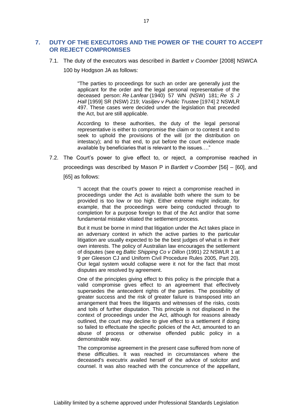## <span id="page-17-0"></span>**7. DUTY OF THE EXECUTORS AND THE POWER OF THE COURT TO ACCEPT OR REJECT COMPROMISES**

7.1. The duty of the executors was described in *Bartlett v Coomber* [2008] NSWCA

100 by Hodgson JA as follows:

"The parties to proceedings for such an order are generally just the applicant for the order and the legal personal representative of the deceased person: *Re Lanfear* (1940) 57 WN (NSW) 181; *Re S J Hall* [1959] SR (NSW) 219; *Vasiljev v Public Trustee* [1974] 2 NSWLR 497. These cases were decided under the legislation that preceded the Act, but are still applicable.

According to these authorities, the duty of the legal personal representative is either to compromise the claim or to contest it and to seek to uphold the provisions of the will (or the distribution on intestacy); and to that end, to put before the court evidence made available by beneficiaries that is relevant to the issues…."

7.2. The Court's power to give effect to, or reject, a compromise reached in proceedings was described by Mason P in *Bartlett v Coomber* [56] – [60], and

[65] as follows:

"I accept that the court's power to reject a compromise reached in proceedings under the Act is available both where the sum to be provided is too low or too high. Either extreme might indicate, for example, that the proceedings were being conducted through to completion for a purpose foreign to that of the Act and/or that some fundamental mistake vitiated the settlement process.

But it must be borne in mind that litigation under the Act takes place in an adversary context in which the active parties to the particular litigation are usually expected to be the best judges of what is in their own interests. The policy of Australian law encourages the settlement of disputes (see eg *Baltic Shipping Co v Dillon* (1991) 22 NSWLR 1 at 9 per Gleeson CJ and Uniform Civil Procedure Rules 2005, Part 20). Our legal system would collapse were it not for the fact that most disputes are resolved by agreement.

One of the principles giving effect to this policy is the principle that a valid compromise gives effect to an agreement that effectively supersedes the antecedent rights of the parties. The possibility of greater success and the risk of greater failure is transposed into an arrangement that frees the litigants and witnesses of the risks, costs and toils of further disputation. This principle is not displaced in the context of proceedings under the Act, although for reasons already outlined, the court may decline to give effect to a settlement if doing so failed to effectuate the specific policies of the Act, amounted to an abuse of process or otherwise offended public policy in a demonstrable way.

The compromise agreement in the present case suffered from none of these difficulties. It was reached in circumstances where the deceased's executrix availed herself of the advice of solicitor and counsel. It was also reached with the concurrence of the appellant,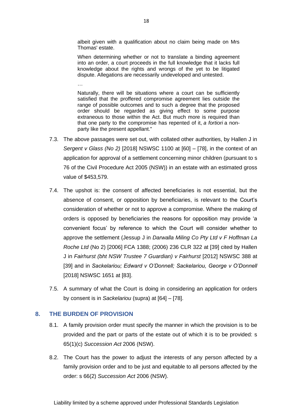albeit given with a qualification about no claim being made on Mrs Thomas' estate.

When determining whether or not to translate a binding agreement into an order, a court proceeds in the full knowledge that it lacks full knowledge about the rights and wrongs of the yet to be litigated dispute. Allegations are necessarily undeveloped and untested.

Naturally, there will be situations where a court can be sufficiently satisfied that the proffered compromise agreement lies outside the range of possible outcomes and to such a degree that the proposed order should be regarded as giving effect to some purpose extraneous to those within the Act. But much more is required than that one party to the compromise has repented of it, *a fortiori* a nonparty like the present appellant."

- 7.3. The above passages were set out, with collated other authorities, by Hallen J in *Sergent v Glass (No 2)* [2018] NSWSC 1100 at [60] – [78], in the context of an application for approval of a settlement concerning minor children (pursuant to s 76 of the Civil Procedure Act 2005 (NSW)) in an estate with an estimated gross value of \$453,579.
- 7.4. The upshot is: the consent of affected beneficiaries is not essential, but the absence of consent, or opposition by beneficiaries, is relevant to the Court's consideration of whether or not to approve a compromise. Where the making of orders is opposed by beneficiaries the reasons for opposition may provide 'a convenient focus' by reference to which the Court will consider whether to approve the settlement (Jessup J in *Darwalla Miling Co Pty Ltd v F Hoffman La Roche Ltd* (No 2) [2006] FCA 1388; (2006) 236 CLR 322 at [39] cited by Hallen J in *Fairhurst (bht NSW Trustee 7 Guardian) v Fairhurst* [2012] NSWSC 388 at [39] and in *Sackelariou; Edward v O'Donnell; Sackelariou, George v O'Donnell* [2018] NSWSC 1651 at [83].
- 7.5. A summary of what the Court is doing in considering an application for orders by consent is in *Sackelariou* (supra) at [64] – [78].

#### <span id="page-18-0"></span>**8. THE BURDEN OF PROVISION**

…

- 8.1. A family provision order must specify the manner in which the provision is to be provided and the part or parts of the estate out of which it is to be provided: s 65(1)(c) *Succession Act* 2006 (NSW).
- 8.2. The Court has the power to adjust the interests of any person affected by a family provision order and to be just and equitable to all persons affected by the order: s 66(2) *Succession Act* 2006 (NSW).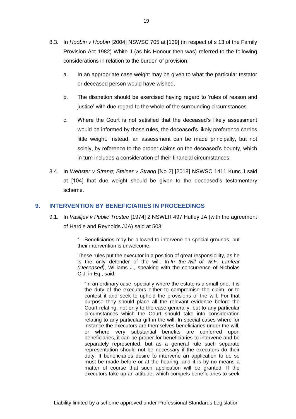- 8.3. In *Hoobin v Hoobin* [2004] NSWSC 705 at [139] (in respect of s 13 of the Family Provision Act 1982) White J (as his Honour then was) referred to the following considerations in relation to the burden of provision:
	- a. In an appropriate case weight may be given to what the particular testator or deceased person would have wished.
	- b. The discretion should be exercised having regard to 'rules of reason and justice' with due regard to the whole of the surrounding circumstances.
	- c. Where the Court is not satisfied that the deceased's likely assessment would be informed by those rules, the deceased's likely preference carries little weight. Instead, an assessment can be made principally, but not solely, by reference to the proper claims on the deceased's bounty, which in turn includes a consideration of their financial circumstances.
- 8.4. In *Webster v Strang; Steiner v Strang* [No 2] [2018] NSWSC 1411 Kunc J said at [104] that due weight should be given to the deceased's testamentary scheme.

#### <span id="page-19-0"></span>**9. INTERVENTION BY BENEFICIARIES IN PROCEEDINGS**

9.1. In *Vasiljev v Public Trustee* [1974] 2 NSWLR 497 Hutley JA (with the agreement of Hardie and Reynolds JJA) said at 503:

> "…Beneficiaries may be allowed to intervene on special grounds, but their intervention is unwelcome.

> These rules put the executor in a position of great responsibility, as he is the only defender of the will. In *In the Will of W.F. Lanfear (Deceased)*, Williams J., speaking with the concurrence of Nicholas C.J. in Eq., said:

"In an ordinary case, specially where the estate is a small one, it is the duty of the executors either to compromise the claim, or to contest it and seek to uphold the provisions of the will. For that purpose they should place all the relevant evidence before the Court relating, not only to the case generally, but to any particular circumstances which the Court should take into consideration relating to any particular gift in the will. In special cases where for instance the executors are themselves beneficiaries under the will, or where very substantial benefits are conferred upon beneficiaries, it can be proper for beneficiaries to intervene and be separately represented, but as a general rule such separate representation should not be necessary if the executors do their duty. If beneficiaries desire to intervene an application to do so must be made before or at the hearing, and it is by no means a matter of course that such application will be granted. If the executors take up an attitude, which compels beneficiaries to seek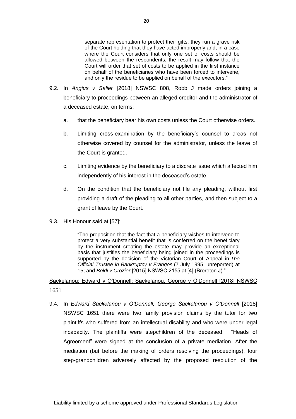separate representation to protect their gifts, they run a grave risk of the Court holding that they have acted improperly and, in a case where the Court considers that only one set of costs should be allowed between the respondents, the result may follow that the Court will order that set of costs to be applied in the first instance on behalf of the beneficiaries who have been forced to intervene, and only the residue to be applied on behalf of the executors."

- 9.2. In *Angius v Salier* [2018] NSWSC 808, Robb J made orders joining a beneficiary to proceedings between an alleged creditor and the administrator of a deceased estate, on terms:
	- a. that the beneficiary bear his own costs unless the Court otherwise orders.
	- b. Limiting cross-examination by the beneficiary's counsel to areas not otherwise covered by counsel for the administrator, unless the leave of the Court is granted.
	- c. Limiting evidence by the beneficiary to a discrete issue which affected him independently of his interest in the deceased's estate.
	- d. On the condition that the beneficiary not file any pleading, without first providing a draft of the pleading to all other parties, and then subject to a grant of leave by the Court.
- 9.3. His Honour said at [57]:

"The proposition that the fact that a beneficiary wishes to intervene to protect a very substantial benefit that is conferred on the beneficiary by the instrument creating the estate may provide an exceptional basis that justifies the beneficiary being joined in the proceedings is supported by the decision of the Victorian Court of Appeal in *The Official Trustee in Bankruptcy v Frangos* (7 July 1995, unreported) at 15; and *Boldi v Crozier* [2015] NSWSC 2155 at [4] (Brereton J)."

# <span id="page-20-0"></span>Sackelariou; Edward v O'Donnell; Sackelariou, George v O'Donnell [2018] NSWSC 1651

9.4. In *Edward Sackelariou v O'Donnell, George Sackelariou v O'Donnell* [2018] NSWSC 1651 there were two family provision claims by the tutor for two plaintiffs who suffered from an intellectual disability and who were under legal incapacity. The plaintiffs were stepchildren of the deceased. "Heads of Agreement" were signed at the conclusion of a private mediation. After the mediation (but before the making of orders resolving the proceedings), four step-grandchildren adversely affected by the proposed resolution of the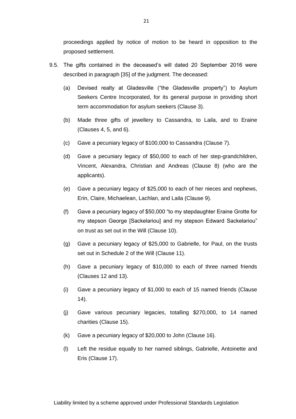proceedings applied by notice of motion to be heard in opposition to the proposed settlement.

- 9.5. The gifts contained in the deceased's will dated 20 September 2016 were described in paragraph [35] of the judgment. The deceased:
	- (a) Devised realty at Gladesville ("the Gladesville property") to Asylum Seekers Centre Incorporated, for its general purpose in providing short term accommodation for asylum seekers (Clause 3).
	- (b) Made three gifts of jewellery to Cassandra, to Laila, and to Eraine (Clauses 4, 5, and 6).
	- (c) Gave a pecuniary legacy of \$100,000 to Cassandra (Clause 7).
	- (d) Gave a pecuniary legacy of \$50,000 to each of her step-grandchildren, Vincent, Alexandra, Christian and Andreas (Clause 8) (who are the applicants).
	- (e) Gave a pecuniary legacy of \$25,000 to each of her nieces and nephews, Erin, Claire, Michaelean, Lachlan, and Laila (Clause 9).
	- (f) Gave a pecuniary legacy of \$50,000 "to my stepdaughter Eraine Grotte for my stepson George [Sackelariou] and my stepson Edward Sackelariou" on trust as set out in the Will (Clause 10).
	- (g) Gave a pecuniary legacy of \$25,000 to Gabrielle, for Paul, on the trusts set out in Schedule 2 of the Will (Clause 11).
	- (h) Gave a pecuniary legacy of \$10,000 to each of three named friends (Clauses 12 and 13).
	- (i) Gave a pecuniary legacy of \$1,000 to each of 15 named friends (Clause 14).
	- (j) Gave various pecuniary legacies, totalling \$270,000, to 14 named charities (Clause 15).
	- (k) Gave a pecuniary legacy of \$20,000 to John (Clause 16).
	- (l) Left the residue equally to her named siblings, Gabrielle, Antoinette and Eris (Clause 17).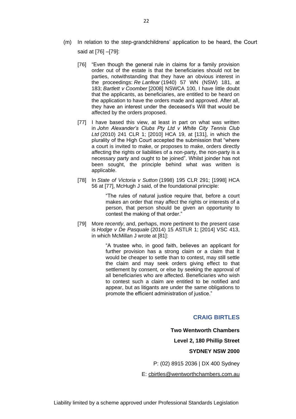- (m) In relation to the step-grandchildrens' application to be heard, the Court said at [76] –[79]:
	- [76] "Even though the general rule in claims for a family provision order out of the estate is that the beneficiaries should not be parties, notwithstanding that they have an obvious interest in the proceedings: *Re Lanfear* (1940) 57 WN (NSW) 181, at 183; *Bartlett v Coomber* [2008] NSWCA 100, I have little doubt that the applicants, as beneficiaries, are entitled to be heard on the application to have the orders made and approved. After all, they have an interest under the deceased's Will that would be affected by the orders proposed.
	- [77] I have based this view, at least in part on what was written in *John Alexander's Clubs Pty Ltd v White City Tennis Club Ltd* (2010) 241 CLR 1; [2010] HCA 19, at [131], in which the plurality of the High Court accepted the submission that "where a court is invited to make, or proposes to make, orders directly affecting the rights or liabilities of a non-party, the non-party is a necessary party and ought to be joined". Whilst joinder has not been sought, the principle behind what was written is applicable.
	- [78] In *State of Victoria v Sutton* (1998) 195 CLR 291; [1998] HCA 56 at [77], McHugh J said, of the foundational principle:

"The rules of natural justice require that, before a court makes an order that may affect the rights or interests of a person, that person should be given an opportunity to contest the making of that order."

[79] More *recently*, and, perhaps, more pertinent to the present case is *Hodge v De Pasquale* (2014) 15 ASTLR 1; [2014] VSC 413, in which McMillan J wrote at [81]:

> "A trustee who, in good faith, believes an applicant for further provision has a strong claim or a claim that it would be cheaper to settle than to contest, may still settle the claim and may seek orders giving effect to that settlement by consent, or else by seeking the approval of all beneficiaries who are affected. Beneficiaries who wish to contest such a claim are entitled to be notified and appear, but as litigants are under the same obligations to promote the efficient administration of justice."

#### **CRAIG BIRTLES**

**Two Wentworth Chambers Level 2, 180 Phillip Street SYDNEY NSW 2000** P: (02) 8915 2036 | DX 400 Sydney

E: [cbirtles@wentworthchambers.com.au](mailto:cbirtles@wentworthchambers.com.au)